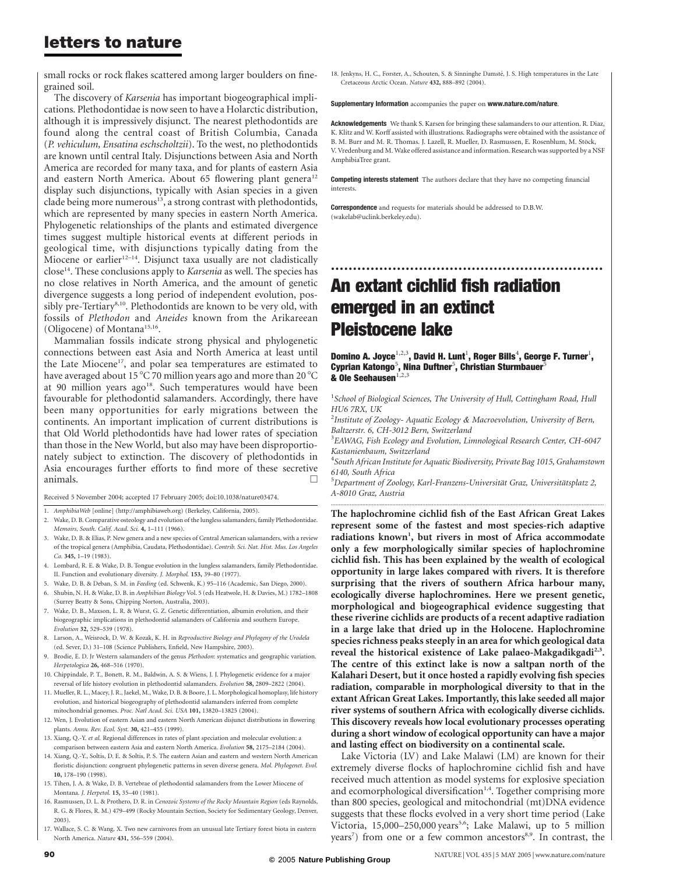small rocks or rock flakes scattered among larger boulders on finegrained soil.

The discovery of Karsenia has important biogeographical implications. Plethodontidae is now seen to have a Holarctic distribution, although it is impressively disjunct. The nearest plethodontids are found along the central coast of British Columbia, Canada (P. vehiculum, Ensatina eschscholtzii). To the west, no plethodontids are known until central Italy. Disjunctions between Asia and North America are recorded for many taxa, and for plants of eastern Asia and eastern North America. About 65 flowering plant genera<sup>12</sup> display such disjunctions, typically with Asian species in a given clade being more numerous<sup>13</sup>, a strong contrast with plethodontids, which are represented by many species in eastern North America. Phylogenetic relationships of the plants and estimated divergence times suggest multiple historical events at different periods in geological time, with disjunctions typically dating from the Miocene or earlier<sup>12-14</sup>. Disjunct taxa usually are not cladistically close14. These conclusions apply to Karsenia as well. The species has no close relatives in North America, and the amount of genetic divergence suggests a long period of independent evolution, possibly pre-Tertiary<sup>8,10</sup>. Plethodontids are known to be very old, with fossils of Plethodon and Aneides known from the Arikareean (Oligocene) of Montana<sup>15,16</sup>.

Mammalian fossils indicate strong physical and phylogenetic connections between east Asia and North America at least until the Late Miocene<sup>17</sup>, and polar sea temperatures are estimated to have averaged about 15 °C 70 million years ago and more than 20 °C at 90 million years ago<sup>18</sup>. Such temperatures would have been favourable for plethodontid salamanders. Accordingly, there have been many opportunities for early migrations between the continents. An important implication of current distributions is that Old World plethodontids have had lower rates of speciation than those in the New World, but also may have been disproportionately subject to extinction. The discovery of plethodontids in Asia encourages further efforts to find more of these secretive animals.  $\Box$ 

Received 5 November 2004; accepted 17 February 2005; doi:10.1038/nature03474.

- 1. AmphibiaWeb [online] (http://amphibiaweb.org) (Berkeley, California, 2005).
- 2. Wake, D. B. Comparative osteology and evolution of the lungless salamanders, family Plethodontidae. Memoirs, South. Calif. Acad. Sci. 4, 1–111 (1966).
- 3. Wake, D. B. & Elias, P. New genera and a new species of Central American salamanders, with a review of the tropical genera (Amphibia, Caudata, Plethodontidae). Contrib. Sci. Nat. Hist. Mus. Los Angeles Co. 345, 1–19 (1983).
- 4. Lombard, R. E. & Wake, D. B. Tongue evolution in the lungless salamanders, family Plethodontidae. II. Function and evolutionary diversity. J. Morphol. 153, 39–80 (1977).
- 5. Wake, D. B. & Deban, S. M. in Feeding (ed. Schwenk, K.) 95–116 (Academic, San Diego, 2000).
- 6. Shubin, N. H. & Wake, D. B. in Amphibian Biology Vol. 5 (eds Heatwole, H. & Davies, M.) 1782–1808 (Surrey Beatty & Sons, Chipping Norton, Australia, 2003).
- 7. Wake, D. B., Maxson, L. R. & Wurst, G. Z. Genetic differentiation, albumin evolution, and their biogeographic implications in plethodontid salamanders of California and southern Europe. Evolution 32, 529–539 (1978).
- 8. Larson, A., Weisrock, D. W. & Kozak, K. H. in Reproductive Biology and Phylogeny of the Urodela (ed. Sever, D.) 31–108 (Science Publishers, Enfield, New Hampshire, 2003).
- 9. Brodie, E. D. Jr Western salamanders of the genus Plethodon: systematics and geographic variation. Herpetologica 26, 468–516 (1970).
- 10. Chippindale, P. T., Bonett, R. M., Baldwin, A. S. & Wiens, J. J. Phylogenetic evidence for a major reversal of life history evolution in plethodontid salamanders. Evolution 58, 2809–2822 (2004).
- 11. Mueller, R. L., Macey, J. R., Jaekel, M., Wake, D. B. & Boore, J. L. Morphological homoplasy, life history evolution, and historical biogeography of plethodontid salamanders inferred from complete mitochondrial genomes. Proc. Natl Acad. Sci. USA 101, 13820–13825 (2004).
- 12. Wen, J. Evolution of eastern Asian and eastern North American disjunct distributions in flowering plants. Annu. Rev. Ecol. Syst. 30, 421–455 (1999).
- 13. Xiang, Q.-Y. et al. Regional differences in rates of plant speciation and molecular evolution: a comparison between eastern Asia and eastern North America. Evolution 58, 2175–2184 (2004).
- 14. Xiang, Q.-Y., Soltis, D. E. & Soltis, P. S. The eastern Asian and eastern and western North American floristic disjunction: congruent phylogenetic patterns in seven diverse genera. Mol. Phylogenet. Evol. 10, 178–190 (1998).
- 15. Tihen, J. A. & Wake, D. B. Vertebrae of plethodontid salamanders from the Lower Miocene of Montana. J. Herpetol. 15, 35–40 (1981).
- 16. Rasmussen, D. L. & Prothero, D. R. in Cenozoic Systems of the Rocky Mountain Region (eds Raynolds, R. G. & Flores, R. M.) 479–499 (Rocky Mountain Section, Society for Sedimentary Geology, Denver, 2003).
- 17. Wallace, S. C. & Wang, X. Two new carnivores from an unusual late Tertiary forest biota in eastern North America. Nature 431, 556–559 (2004).

18. Jenkyns, H. C., Forster, A., Schouten, S. & Sinninghe Damsté, J. S. High temperatures in the Late Cretaceous Arctic Ocean. Nature 432, 888–892 (2004).

Supplementary Information accompanies the paper on www.nature.com/nature.

Acknowledgements We thank S. Karsen for bringing these salamanders to our attention. R. Diaz, K. Klitz and W. Korff assisted with illustrations. Radiographs were obtained with the assistance of B. M. Burr and M. R. Thomas. J. Lazell, R. Mueller, D. Rasmussen, E. Rosenblum, M. Stöck, V. Vredenburg and M. Wake offered assistance and information. Research was supported by a NSF AmphibiaTree grant.

Competing interests statement The authors declare that they have no competing financial interests.

..............................................................

**Correspondence** and requests for materials should be addressed to D.B.W. (wakelab@uclink.berkeley.edu).

# An extant cichlid fish radiation emerged in an extinct Pleistocene lake

Domino A. Joyce $^{1,2,3}$ , David H. Lunt $^{1}$ , Roger Bills $^{4}$ , George F. Turner $^{1}$ , Cyprian Katongo<sup>5</sup>, Nina Duftner<sup>5</sup>, Christian Sturmbauer<sup>5</sup> & Ole Seehausen $^{1,2,3}$ 

<sup>1</sup>School of Biological Sciences, The University of Hull, Cottingham Road, Hull HU6 7RX, UK

 $^{2}$ Institute of Zoology- Aquatic Ecology & Macroevolution, University of Bern, Baltzerstr. 6, CH-3012 Bern, Switzerland

<sup>3</sup>EAWAG, Fish Ecology and Evolution, Limnological Research Center, CH-6047 Kastanienbaum, Switzerland

 $^4$ South African Institute for Aquatic Biodiversity, Private Bag 1015, Grahamstown 6140, South Africa

<sup>5</sup>Department of Zoology, Karl-Franzens-Universität Graz, Universitätsplatz 2, A-8010 Graz, Austria .............................................................................................................................................................................

The haplochromine cichlid fish of the East African Great Lakes represent some of the fastest and most species-rich adaptive radiations known<sup>1</sup>, but rivers in most of Africa accommodate only a few morphologically similar species of haplochromine cichlid fish. This has been explained by the wealth of ecological opportunity in large lakes compared with rivers. It is therefore surprising that the rivers of southern Africa harbour many, ecologically diverse haplochromines. Here we present genetic, morphological and biogeographical evidence suggesting that these riverine cichlids are products of a recent adaptive radiation in a large lake that dried up in the Holocene. Haplochromine species richness peaks steeply in an area for which geological data reveal the historical existence of Lake palaeo-Makgadikgadi<sup>2,3</sup>. The centre of this extinct lake is now a saltpan north of the Kalahari Desert, but it once hosted a rapidly evolving fish species radiation, comparable in morphological diversity to that in the extant African Great Lakes. Importantly, this lake seeded all major river systems of southern Africa with ecologically diverse cichlids. This discovery reveals how local evolutionary processes operating during a short window of ecological opportunity can have a major and lasting effect on biodiversity on a continental scale.

Lake Victoria (LV) and Lake Malawi (LM) are known for their extremely diverse flocks of haplochromine cichlid fish and have received much attention as model systems for explosive speciation and ecomorphological diversification<sup>1,4</sup>. Together comprising more than 800 species, geological and mitochondrial (mt)DNA evidence suggests that these flocks evolved in a very short time period (Lake Victoria, 15,000-250,000 years<sup>5,6</sup>; Lake Malawi, up to 5 million years<sup>7</sup>) from one or a few common ancestors<sup>8,9</sup>. In contrast, the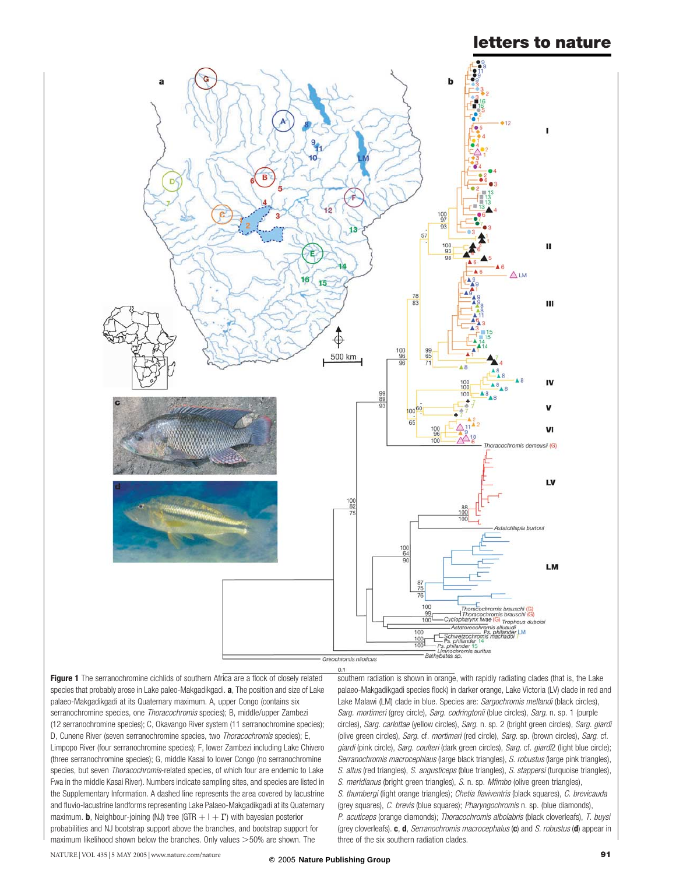

Figure 1 The serranochromine cichlids of southern Africa are a flock of closely related species that probably arose in Lake paleo-Makgadikgadi. a, The position and size of Lake palaeo-Makgadikgadi at its Quaternary maximum. A, upper Congo (contains six serranochromine species, one Thoracochromis species); B, middle/upper Zambezi (12 serranochromine species); C, Okavango River system (11 serranochromine species); D, Cunene River (seven serranochromine species, two Thoracochromis species); E, Limpopo River (four serranochromine species); F, lower Zambezi including Lake Chivero (three serranochromine species); G, middle Kasai to lower Congo (no serranochromine species, but seven Thoracochromis-related species, of which four are endemic to Lake Fwa in the middle Kasai River). Numbers indicate sampling sites, and species are listed in the Supplementary Information. A dashed line represents the area covered by lacustrine and fluvio-lacustrine landforms representing Lake Palaeo-Makgadikgadi at its Quaternary maximum. **b**, Neighbour-joining (NJ) tree (GTR  $+$  I  $+$   $\Gamma$ ) with bayesian posterior probabilities and NJ bootstrap support above the branches, and bootstrap support for maximum likelihood shown below the branches. Only values  $>50\%$  are shown. The

southern radiation is shown in orange, with rapidly radiating clades (that is, the Lake palaeo-Makgadikgadi species flock) in darker orange, Lake Victoria (LV) clade in red and Lake Malawi (LM) clade in blue. Species are: Sargochromis mellandi (black circles), Sarg. mortimeri (grey circle), Sarg. codringtonii (blue circles), Sarg. n. sp. 1 (purple circles), Sarg. carlottae (yellow circles), Sarg. n. sp. 2 (bright green circles), Sarg. giardi (olive green circles), Sarg. cf. mortimeri (red circle), Sarg. sp. (brown circles), Sarg. cf. giardi (pink circle), Sarg. coulteri (dark green circles), Sarg. cf. giardi2 (light blue circle); Serranochromis macrocephlaus (large black triangles), S. robustus (large pink triangles), S. altus (red triangles), S. angusticeps (blue triangles), S. stappersi (turquoise triangles), S. meridianus (bright green triangles), S. n. sp. Mfimbo (olive green triangles), S. thumbergi (light orange triangles); Chetia flaviventris (black squares), C. brevicauda (grey squares), C. brevis (blue squares); Pharyngochromis n. sp. (blue diamonds), P. acuticeps (orange diamonds); Thoracochromis albolabris (black cloverleafs), T. buysi (grey cloverleafs).  $c, d$ , *Serranochromis macrocephalus* (c) and *S. robustus* (d) appear in three of the six southern radiation clades.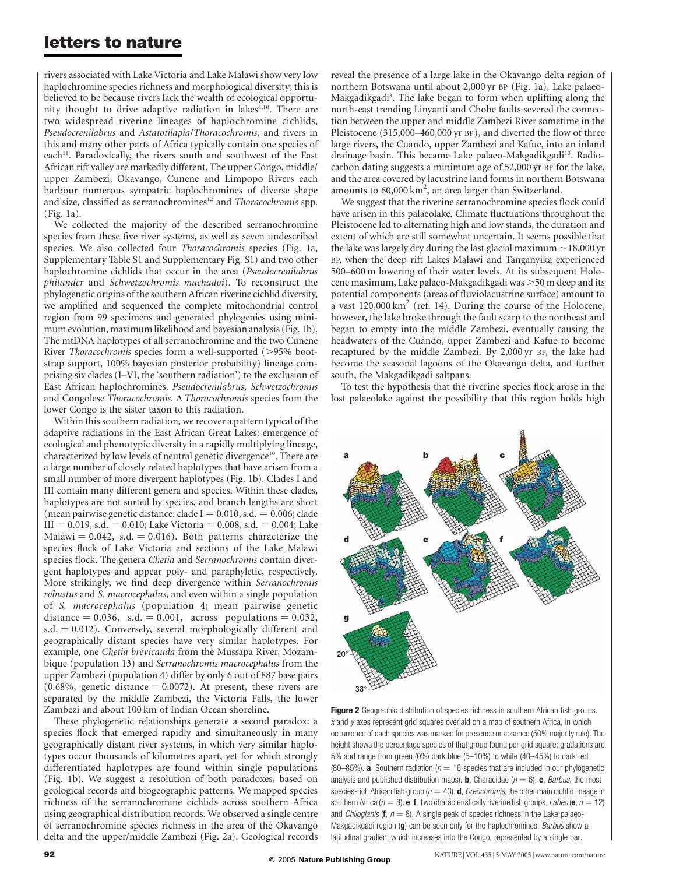rivers associated with Lake Victoria and Lake Malawi show very low haplochromine species richness and morphological diversity; this is believed to be because rivers lack the wealth of ecological opportunity thought to drive adaptive radiation in lakes<sup>4,10</sup>. There are two widespread riverine lineages of haplochromine cichlids, Pseudocrenilabrus and Astatotilapia/Thoracochromis, and rivers in this and many other parts of Africa typically contain one species of each<sup>11</sup>. Paradoxically, the rivers south and southwest of the East African rift valley are markedly different. The upper Congo, middle/ upper Zambezi, Okavango, Cunene and Limpopo Rivers each harbour numerous sympatric haplochromines of diverse shape and size, classified as serranochromines<sup>12</sup> and Thoracochromis spp. (Fig. 1a).

We collected the majority of the described serranochromine species from these five river systems, as well as seven undescribed species. We also collected four Thoracochromis species (Fig. 1a, Supplementary Table S1 and Supplementary Fig. S1) and two other haplochromine cichlids that occur in the area (Pseudocrenilabrus philander and Schwetzochromis machadoi). To reconstruct the phylogenetic origins of the southern African riverine cichlid diversity, we amplified and sequenced the complete mitochondrial control region from 99 specimens and generated phylogenies using minimum evolution, maximum likelihood and bayesian analysis (Fig. 1b). The mtDNA haplotypes of all serranochromine and the two Cunene River Thoracochromis species form a well-supported (>95% bootstrap support, 100% bayesian posterior probability) lineage comprising six clades (I–VI, the 'southern radiation') to the exclusion of East African haplochromines, Pseudocrenilabrus, Schwetzochromis and Congolese Thoracochromis. A Thoracochromis species from the lower Congo is the sister taxon to this radiation.

Within this southern radiation, we recover a pattern typical of the adaptive radiations in the East African Great Lakes: emergence of ecological and phenotypic diversity in a rapidly multiplying lineage, characterized by low levels of neutral genetic divergence<sup>10</sup>. There are a large number of closely related haplotypes that have arisen from a small number of more divergent haplotypes (Fig. 1b). Clades I and III contain many different genera and species. Within these clades, haplotypes are not sorted by species, and branch lengths are short (mean pairwise genetic distance: clade  $I = 0.010$ , s.d.  $= 0.006$ ; clade  $III = 0.019$ , s.d. = 0.010; Lake Victoria = 0.008, s.d. = 0.004; Lake Malawi  $= 0.042$ , s.d.  $= 0.016$ ). Both patterns characterize the species flock of Lake Victoria and sections of the Lake Malawi species flock. The genera Chetia and Serranochromis contain divergent haplotypes and appear poly- and paraphyletic, respectively. More strikingly, we find deep divergence within Serranochromis robustus and S. macrocephalus, and even within a single population of S. macrocephalus (population 4; mean pairwise genetic distance  $= 0.036$ , s.d.  $= 0.001$ , across populations  $= 0.032$ ,  $s.d. = 0.012$ ). Conversely, several morphologically different and geographically distant species have very similar haplotypes. For example, one Chetia brevicauda from the Mussapa River, Mozambique (population 13) and Serranochromis macrocephalus from the upper Zambezi (population 4) differ by only 6 out of 887 base pairs  $(0.68\%$ , genetic distance  $= 0.0072$ ). At present, these rivers are separated by the middle Zambezi, the Victoria Falls, the lower Zambezi and about 100 km of Indian Ocean shoreline.

These phylogenetic relationships generate a second paradox: a species flock that emerged rapidly and simultaneously in many geographically distant river systems, in which very similar haplotypes occur thousands of kilometres apart, yet for which strongly differentiated haplotypes are found within single populations (Fig. 1b). We suggest a resolution of both paradoxes, based on geological records and biogeographic patterns. We mapped species richness of the serranochromine cichlids across southern Africa using geographical distribution records. We observed a single centre of serranochromine species richness in the area of the Okavango delta and the upper/middle Zambezi (Fig. 2a). Geological records

reveal the presence of a large lake in the Okavango delta region of northern Botswana until about 2,000 yr BP (Fig. 1a), Lake palaeo-Makgadikgadi<sup>3</sup>. The lake began to form when uplifting along the north-east trending Linyanti and Chobe faults severed the connection between the upper and middle Zambezi River sometime in the Pleistocene (315,000–460,000 yr BP), and diverted the flow of three large rivers, the Cuando, upper Zambezi and Kafue, into an inland drainage basin. This became Lake palaeo-Makgadikgadi<sup>13</sup>. Radiocarbon dating suggests a minimum age of 52,000 yr BP for the lake, and the area covered by lacustrine land forms in northern Botswana amounts to  $60,000\,\mathrm{km}^2$ , an area larger than Switzerland.

We suggest that the riverine serranochromine species flock could have arisen in this palaeolake. Climate fluctuations throughout the Pleistocene led to alternating high and low stands, the duration and extent of which are still somewhat uncertain. It seems possible that the lake was largely dry during the last glacial maximum  $\sim$  18,000 yr BP, when the deep rift Lakes Malawi and Tanganyika experienced 500–600 m lowering of their water levels. At its subsequent Holocene maximum, Lake palaeo-Makgadikgadi was  $>50$  m deep and its potential components (areas of fluviolacustrine surface) amount to a vast  $120,000 \text{ km}^2$  (ref. 14). During the course of the Holocene, however, the lake broke through the fault scarp to the northeast and began to empty into the middle Zambezi, eventually causing the headwaters of the Cuando, upper Zambezi and Kafue to become recaptured by the middle Zambezi. By 2,000 yr BP, the lake had become the seasonal lagoons of the Okavango delta, and further south, the Makgadikgadi saltpans.

To test the hypothesis that the riverine species flock arose in the lost palaeolake against the possibility that this region holds high



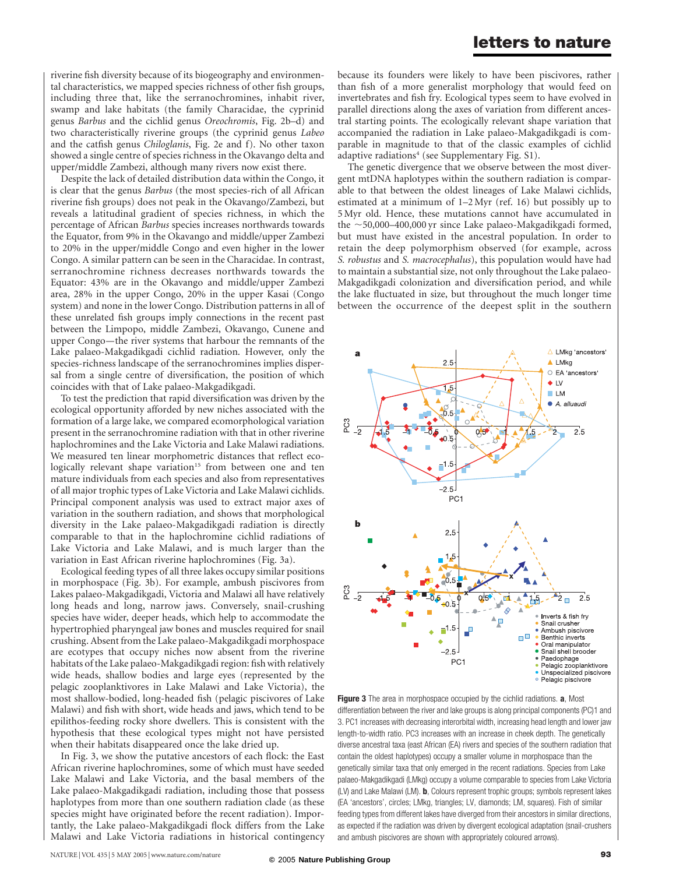riverine fish diversity because of its biogeography and environmental characteristics, we mapped species richness of other fish groups, including three that, like the serranochromines, inhabit river, swamp and lake habitats (the family Characidae, the cyprinid genus Barbus and the cichlid genus Oreochromis, Fig. 2b–d) and two characteristically riverine groups (the cyprinid genus Labeo and the catfish genus Chiloglanis, Fig. 2e and f). No other taxon showed a single centre of species richness in the Okavango delta and upper/middle Zambezi, although many rivers now exist there.

Despite the lack of detailed distribution data within the Congo, it is clear that the genus Barbus (the most species-rich of all African riverine fish groups) does not peak in the Okavango/Zambezi, but reveals a latitudinal gradient of species richness, in which the percentage of African Barbus species increases northwards towards the Equator, from 9% in the Okavango and middle/upper Zambezi to 20% in the upper/middle Congo and even higher in the lower Congo. A similar pattern can be seen in the Characidae. In contrast, serranochromine richness decreases northwards towards the Equator: 43% are in the Okavango and middle/upper Zambezi area, 28% in the upper Congo, 20% in the upper Kasai (Congo system) and none in the lower Congo. Distribution patterns in all of these unrelated fish groups imply connections in the recent past between the Limpopo, middle Zambezi, Okavango, Cunene and upper Congo—the river systems that harbour the remnants of the Lake palaeo-Makgadikgadi cichlid radiation. However, only the species-richness landscape of the serranochromines implies dispersal from a single centre of diversification, the position of which coincides with that of Lake palaeo-Makgadikgadi.

To test the prediction that rapid diversification was driven by the ecological opportunity afforded by new niches associated with the formation of a large lake, we compared ecomorphological variation present in the serranochromine radiation with that in other riverine haplochromines and the Lake Victoria and Lake Malawi radiations. We measured ten linear morphometric distances that reflect ecologically relevant shape variation<sup>15</sup> from between one and ten mature individuals from each species and also from representatives of all major trophic types of Lake Victoria and Lake Malawi cichlids. Principal component analysis was used to extract major axes of variation in the southern radiation, and shows that morphological diversity in the Lake palaeo-Makgadikgadi radiation is directly comparable to that in the haplochromine cichlid radiations of Lake Victoria and Lake Malawi, and is much larger than the variation in East African riverine haplochromines (Fig. 3a).

Ecological feeding types of all three lakes occupy similar positions in morphospace (Fig. 3b). For example, ambush piscivores from Lakes palaeo-Makgadikgadi, Victoria and Malawi all have relatively long heads and long, narrow jaws. Conversely, snail-crushing species have wider, deeper heads, which help to accommodate the hypertrophied pharyngeal jaw bones and muscles required for snail crushing. Absent from the Lake palaeo-Makgadikgadi morphospace are ecotypes that occupy niches now absent from the riverine habitats of the Lake palaeo-Makgadikgadi region: fish with relatively wide heads, shallow bodies and large eyes (represented by the pelagic zooplanktivores in Lake Malawi and Lake Victoria), the most shallow-bodied, long-headed fish (pelagic piscivores of Lake Malawi) and fish with short, wide heads and jaws, which tend to be epilithos-feeding rocky shore dwellers. This is consistent with the hypothesis that these ecological types might not have persisted when their habitats disappeared once the lake dried up.

In Fig. 3, we show the putative ancestors of each flock: the East African riverine haplochromines, some of which must have seeded Lake Malawi and Lake Victoria, and the basal members of the Lake palaeo-Makgadikgadi radiation, including those that possess haplotypes from more than one southern radiation clade (as these species might have originated before the recent radiation). Importantly, the Lake palaeo-Makgadikgadi flock differs from the Lake Malawi and Lake Victoria radiations in historical contingency

because its founders were likely to have been piscivores, rather than fish of a more generalist morphology that would feed on invertebrates and fish fry. Ecological types seem to have evolved in parallel directions along the axes of variation from different ancestral starting points. The ecologically relevant shape variation that accompanied the radiation in Lake palaeo-Makgadikgadi is comparable in magnitude to that of the classic examples of cichlid adaptive radiations<sup>4</sup> (see Supplementary Fig. S1).

The genetic divergence that we observe between the most divergent mtDNA haplotypes within the southern radiation is comparable to that between the oldest lineages of Lake Malawi cichlids, estimated at a minimum of 1–2 Myr (ref. 16) but possibly up to 5 Myr old. Hence, these mutations cannot have accumulated in the  $\sim$ 50,000–400,000 yr since Lake palaeo-Makgadikgadi formed, but must have existed in the ancestral population. In order to retain the deep polymorphism observed (for example, across S. robustus and S. macrocephalus), this population would have had to maintain a substantial size, not only throughout the Lake palaeo-Makgadikgadi colonization and diversification period, and while the lake fluctuated in size, but throughout the much longer time between the occurrence of the deepest split in the southern



Figure 3 The area in morphospace occupied by the cichlid radiations. a, Most differentiation between the river and lake groups is along principal components (PC)1 and 3. PC1 increases with decreasing interorbital width, increasing head length and lower jaw length-to-width ratio. PC3 increases with an increase in cheek depth. The genetically diverse ancestral taxa (east African (EA) rivers and species of the southern radiation that contain the oldest haplotypes) occupy a smaller volume in morphospace than the genetically similar taxa that only emerged in the recent radiations. Species from Lake palaeo-Makgadikgadi (LMkg) occupy a volume comparable to species from Lake Victoria (LV) and Lake Malawi (LM). b, Colours represent trophic groups; symbols represent lakes (EA 'ancestors', circles; LMkg, triangles; LV, diamonds; LM, squares). Fish of similar feeding types from different lakes have diverged from their ancestors in similar directions, as expected if the radiation was driven by divergent ecological adaptation (snail-crushers and ambush piscivores are shown with appropriately coloured arrows).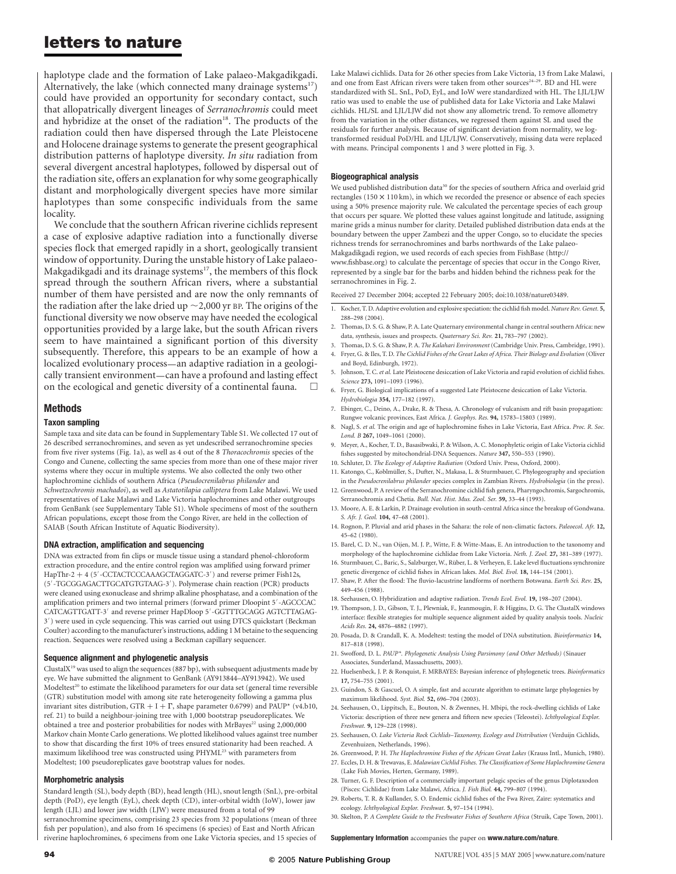haplotype clade and the formation of Lake palaeo-Makgadikgadi. Alternatively, the lake (which connected many drainage systems $^{17}$ ) could have provided an opportunity for secondary contact, such that allopatrically divergent lineages of Serranochromis could meet and hybridize at the onset of the radiation<sup>18</sup>. The products of the radiation could then have dispersed through the Late Pleistocene and Holocene drainage systems to generate the present geographical distribution patterns of haplotype diversity. In situ radiation from several divergent ancestral haplotypes, followed by dispersal out of the radiation site, offers an explanation for why some geographically distant and morphologically divergent species have more similar haplotypes than some conspecific individuals from the same locality.

We conclude that the southern African riverine cichlids represent a case of explosive adaptive radiation into a functionally diverse species flock that emerged rapidly in a short, geologically transient window of opportunity. During the unstable history of Lake palaeo-Makgadikgadi and its drainage systems<sup>17</sup>, the members of this flock spread through the southern African rivers, where a substantial number of them have persisted and are now the only remnants of the radiation after the lake dried up  $\sim$  2,000 yr BP. The origins of the functional diversity we now observe may have needed the ecological opportunities provided by a large lake, but the south African rivers seem to have maintained a significant portion of this diversity subsequently. Therefore, this appears to be an example of how a localized evolutionary process—an adaptive radiation in a geologically transient environment—can have a profound and lasting effect on the ecological and genetic diversity of a continental fauna. A

#### Methods

#### Taxon sampling

Sample taxa and site data can be found in Supplementary Table S1. We collected 17 out of 26 described serranochromines, and seven as yet undescribed serranochromine species from five river systems (Fig. 1a), as well as 4 out of the 8 Thoracochromis species of the Congo and Cunene, collecting the same species from more than one of these major river systems where they occur in multiple systems. We also collected the only two other haplochromine cichlids of southern Africa (Pseudocrenilabrus philander and Schwetzochromis machadoi), as well as Astatotilapia calliptera from Lake Malawi. We used representatives of Lake Malawi and Lake Victoria haplochromines and other outgroups from GenBank (see Supplementary Table S1). Whole specimens of most of the southern African populations, except those from the Congo River, are held in the collection of SAIAB (South African Institute of Aquatic Biodiversity).

#### DNA extraction, amplification and sequencing

DNA was extracted from fin clips or muscle tissue using a standard phenol-chloroform extraction procedure, and the entire control region was amplified using forward primer HapThr-2 + 4 (5'-CCTACTCCCAAAGCTAGGATC-3') and reverse primer Fish12s, (5'-TGCGGAGACTTGCATGTGTAAG-3'). Polymerase chain reaction (PCR) products were cleaned using exonuclease and shrimp alkaline phosphatase, and a combination of the amplification primers and two internal primers (forward primer Dloopint 5'-AGCCCAC CATCAGTTGATT-3' and reverse primer HapDloop 5'-GGTTTGCAGG AGTCTTAGAG-3') were used in cycle sequencing. This was carried out using DTCS quickstart (Beckman Coulter) according to the manufacturer's instructions, adding 1 M betaine to the sequencing reaction. Sequences were resolved using a Beckman capillary sequencer.

#### Sequence alignment and phylogenetic analysis

Clustal $X^{19}$  was used to align the sequences (887 bp), with subsequent adjustments made by eye. We have submitted the alignment to GenBank (AY913844–AY913942). We used Modeltest<sup>20</sup> to estimate the likelihood parameters for our data set (general time reversible (GTR) substitution model with among site rate heterogeneity following a gamma plus invariant sites distribution, GTR  $+$  I  $+$   $\Gamma$ , shape parameter 0.6799) and PAUP\* (v4.b10, ref. 21) to build a neighbour-joining tree with 1,000 bootstrap pseudoreplicates. We obtained a tree and posterior probabilities for nodes with MrBayes<sup>22</sup> using 2,000,000 Markov chain Monte Carlo generations. We plotted likelihood values against tree number to show that discarding the first 10% of trees ensured stationarity had been reached. A maximum likelihood tree was constructed using PHYML<sup>23</sup> with parameters from Modeltest; 100 pseudoreplicates gave bootstrap values for nodes.

#### Morphometric analysis

Standard length (SL), body depth (BD), head length (HL), snout length (SnL), pre-orbital depth (PoD), eye length (EyL), cheek depth (CD), inter-orbital width (IoW), lower jaw length (LJL) and lower jaw width (LJW) were measured from a total of 99

serranochromine specimens, comprising 23 species from 32 populations (mean of three fish per population), and also from 16 specimens (6 species) of East and North African riverine haplochromines, 6 specimens from one Lake Victoria species, and 15 species of

Lake Malawi cichlids. Data for 26 other species from Lake Victoria, 13 from Lake Malawi, and one from East African rivers were taken from other sources<sup>24-29</sup>. BD and HL were standardized with SL. SnL, PoD, EyL, and IoW were standardized with HL. The LJL/LJW ratio was used to enable the use of published data for Lake Victoria and Lake Malawi cichlids. HL/SL and LJL/LJW did not show any allometric trend. To remove allometry from the variation in the other distances, we regressed them against SL and used the residuals for further analysis. Because of significant deviation from normality, we logtransformed residual PoD/HL and LJL/LJW. Conservatively, missing data were replaced with means. Principal components 1 and 3 were plotted in Fig. 3.

#### Biogeographical analysis

We used published distribution data<sup>30</sup> for the species of southern Africa and overlaid grid rectangles ( $150 \times 110$  km), in which we recorded the presence or absence of each species using a 50% presence majority rule. We calculated the percentage species of each group that occurs per square. We plotted these values against longitude and latitude, assigning marine grids a minus number for clarity. Detailed published distribution data ends at the boundary between the upper Zambezi and the upper Congo, so to elucidate the species richness trends for serranochromines and barbs northwards of the Lake palaeo-Makgadikgadi region, we used records of each species from FishBase (http:// www.fishbase.org) to calculate the percentage of species that occur in the Congo River, represented by a single bar for the barbs and hidden behind the richness peak for the serranochromines in Fig. 2.

Received 27 December 2004; accepted 22 February 2005; doi:10.1038/nature03489.

- 1. Kocher, T. D. Adaptive evolution and explosive speciation: the cichlid fish model. Nature Rev. Genet. 5, 288–298 (2004).
- 2. Thomas, D. S. G. & Shaw, P. A. Late Quaternary environmental change in central southern Africa: new data, synthesis, issues and prospects. Quaternary Sci. Rev. 21, 783–797 (2002).
- 3. Thomas, D. S. G. & Shaw, P. A. The Kalahari Environment (Cambridge Univ. Press, Cambridge, 1991).
- 4. Fryer, G. & Iles, T. D. The Cichlid Fishes of the Great Lakes of Africa. Their Biology and Evolution (Oliver and Boyd, Edinburgh, 1972).
- 5. Johnson, T. C. et al. Late Pleistocene desiccation of Lake Victoria and rapid evolution of cichlid fishes Science 273, 1091–1093 (1996).
- 6. Fryer, G. Biological implications of a suggested Late Pleistocene desiccation of Lake Victoria. Hydrobiologia 354, 177–182 (1997).
- 7. Ebinger, C., Deino, A., Drake, R. & Thesa, A. Chronology of vulcanism and rift basin propagation: Rungwe volcanic provinces, East Africa. J. Geophys. Res. 94, 15783–15803 (1989).
- 8. Nagl, S. et al. The origin and age of haplochromine fishes in Lake Victoria, East Africa. Proc. R. Soc. Lond. B 267, 1049–1061 (2000).
- 9. Meyer, A., Kocher, T. D., Basasibwaki, P. & Wilson, A. C. Monophyletic origin of Lake Victoria cichlid fishes suggested by mitochondrial-DNA Sequences. Nature 347, 550–553 (1990).
- 10. Schluter, D. The Ecology of Adaptive Radiation (Oxford Univ. Press, Oxford, 2000).
- 11. Katongo, C., Koblmüller, S., Dufter, N., Makasa, L. & Sturmbauer, C. Phylogeography and speciation in the Pseudocrenilabrus philander species complex in Zambian Rivers. Hydrobiologia (in the press).
- 12. Greenwood, P. A review of the Serranochromine cichlid fish genera, Pharyngochromis, Sargochromis, Serranochromis and Chetia. Bull. Nat. Hist. Mus. Zool. Ser. 59, 33–44 (1993).
- 13. Moore, A. E. & Larkin, P. Drainage evolution in south-central Africa since the breakup of Gondwana. S. Afr. J. Geol. 104, 47–68 (2001).
- 14. Rognon, P. Pluvial and arid phases in the Sahara: the role of non-climatic factors. Paleoecol. Afr. 12, 45–62 (1980).
- 15. Barel, C. D. N., van Oijen, M. J. P., Witte, F. & Witte-Maas, E. An introduction to the taxonomy and morphology of the haplochromine cichlidae from Lake Victoria. Neth. J. Zool. 27, 381–389 (1977). 16. Sturmbauer, C., Baric, S., Salzburger, W., Rüber, L. & Verheyen, E. Lake level fluctuations synchronize
- genetic divergence of cichlid fishes in African lakes. Mol. Biol. Evol. 18, 144–154 (2001). 17. Shaw, P. After the flood: The fluvio-lacustrine landforms of northern Botswana. Earth Sci. Rev. 25,
- 449–456 (1988).
- 18. Seehausen, O. Hybridization and adaptive radiation. Trends Ecol. Evol. 19, 198–207 (2004). 19. Thompson, J. D., Gibson, T. J., Plewniak, F., Jeanmougin, F. & Higgins, D. G. The ClustalX windows interface: flexible strategies for multiple sequence alignment aided by quality analysis tools. Nucleic Acids Res. 24, 4876–4882 (1997).
- 20. Posada, D. & Crandall, K. A. Modeltest: testing the model of DNA substitution. Bioinformatics 14, 817–818 (1998).
- 21. Swofford, D. L. PAUP\*. Phylogenetic Analysis Using Parsimony (and Other Methods) (Sinauer Associates, Sunderland, Massachusetts, 2003).
- 22. Huelsenbeck, J. P. & Ronquist, F. MRBAYES: Bayesian inference of phylogenetic trees. Bioinformatics 17, 754–755 (2001).
- 23. Guindon, S. & Gascuel, O. A simple, fast and accurate algorithm to estimate large phylogenies by maximum likelihood. Syst. Biol. 52, 696–704 (2003).
- 24. Seehausen, O., Lippitsch, E., Bouton, N. & Zwennes, H. Mbipi, the rock-dwelling cichlids of Lake Victoria: description of three new genera and fifteen new species (Teleostei). Ichthyological Explor. Freshwat. 9, 129–228 (1998).
- 25. Seehausen, O. Lake Victoria Rock Cichlids–Taxonomy, Ecology and Distribution (Verduijn Cichlids, Zevenhuizen, Netherlands, 1996).
- 26. Greenwood, P. H. The Haplochromine Fishes of the African Great Lakes (Krauss Intl., Munich, 1980). 27. Eccles, D. H. & Trewavas, E. Malawian Cichlid Fishes. The Classification of Some Haplochromine Genera
- (Lake Fish Movies, Herten, Germany, 1989). 28. Turner, G. F. Description of a commercially important pelagic species of the genus Diplotaxodon
- (Pisces: Cichlidae) from Lake Malawi, Africa. J. Fish Biol. 44, 799–807 (1994). 29. Roberts, T. R. & Kullander, S. O. Endemic cichlid fishes of the Fwa River, Zaïre: systematics and
- ecology. Ichthyological Explor. Freshwat. 5, 97–154 (1994). 30. Skelton, P. A Complete Guide to the Freshwater Fishes of Southern Africa (Struik, Cape Town, 2001).

Supplementary Information accompanies the paper on www.nature.com/nature